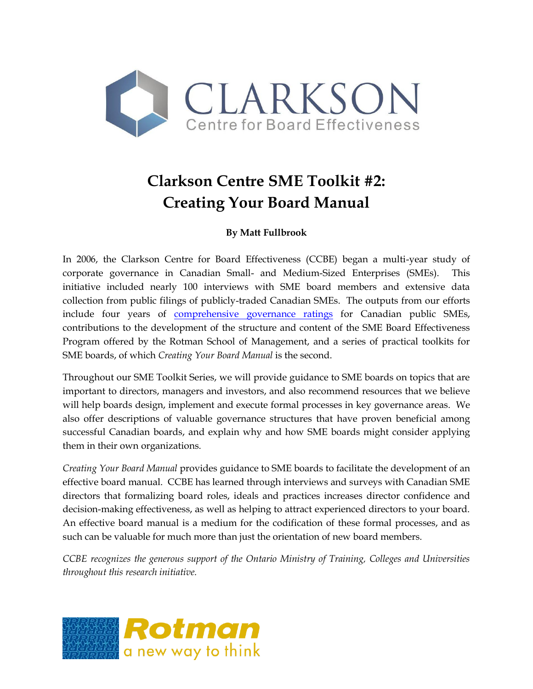

# **Clarkson Centre SME Toolkit #2: Creating Your Board Manual**

# **By Matt Fullbrook**

In 2006, the Clarkson Centre for Board Effectiveness (CCBE) began a multi-year study of corporate governance in Canadian Small- and Medium-Sized Enterprises (SMEs). This initiative included nearly 100 interviews with SME board members and extensive data collection from public filings of publicly-traded Canadian SMEs. The outputs from our efforts include four years of [comprehensive governance ratings](http://www.rotman.utoronto.ca/CCBE/details.aspx?ContentID=402) for Canadian public SMEs, contributions to the development of the structure and content of the SME Board Effectiveness Program offered by the Rotman School of Management, and a series of practical toolkits for SME boards, of which *Creating Your Board Manual* is the second.

Throughout our SME Toolkit Series, we will provide guidance to SME boards on topics that are important to directors, managers and investors, and also recommend resources that we believe will help boards design, implement and execute formal processes in key governance areas. We also offer descriptions of valuable governance structures that have proven beneficial among successful Canadian boards, and explain why and how SME boards might consider applying them in their own organizations.

*Creating Your Board Manual* provides guidance to SME boards to facilitate the development of an effective board manual. CCBE has learned through interviews and surveys with Canadian SME directors that formalizing board roles, ideals and practices increases director confidence and decision-making effectiveness, as well as helping to attract experienced directors to your board. An effective board manual is a medium for the codification of these formal processes, and as such can be valuable for much more than just the orientation of new board members.

*CCBE recognizes the generous support of the Ontario Ministry of Training, Colleges and Universities throughout this research initiative.*

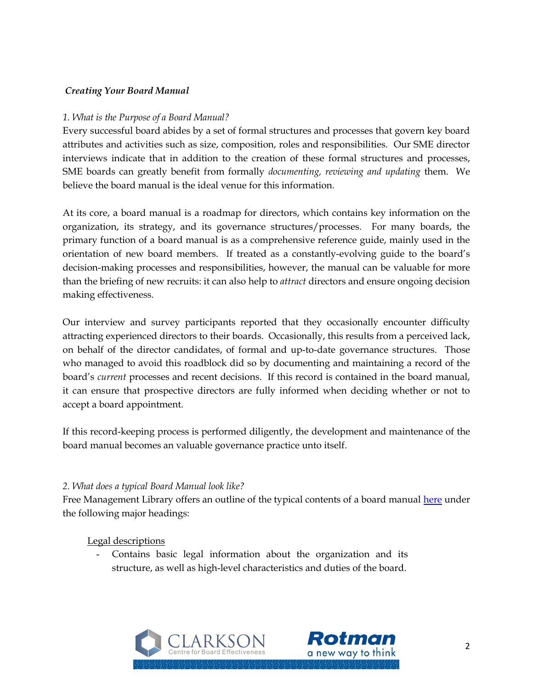#### *Creating Your Board Manual*

#### *1. What is the Purpose of a Board Manual?*

Every successful board abides by a set of formal structures and processes that govern key board attributes and activities such as size, composition, roles and responsibilities. Our SME director interviews indicate that in addition to the creation of these formal structures and processes, SME boards can greatly benefit from formally *documenting, reviewing and updating* them. We believe the board manual is the ideal venue for this information.

At its core, a board manual is a roadmap for directors, which contains key information on the organization, its strategy, and its governance structures/processes. For many boards, the primary function of a board manual is as a comprehensive reference guide, mainly used in the orientation of new board members. If treated as a constantly-evolving guide to the board's decision-making processes and responsibilities, however, the manual can be valuable for more than the briefing of new recruits: it can also help to *attract* directors and ensure ongoing decision making effectiveness.

Our interview and survey participants reported that they occasionally encounter difficulty attracting experienced directors to their boards. Occasionally, this results from a perceived lack, on behalf of the director candidates, of formal and up-to-date governance structures. Those who managed to avoid this roadblock did so by documenting and maintaining a record of the board's *current* processes and recent decisions. If this record is contained in the board manual, it can ensure that prospective directors are fully informed when deciding whether or not to accept a board appointment.

If this record-keeping process is performed diligently, the development and maintenance of the board manual becomes an valuable governance practice unto itself.

#### *2. What does a typical Board Manual look like?*

Free Management Library offers an outline of the typical contents of a board manual [here](http://managementhelp.org/boards/manual.htm) under the following major headings:

Legal descriptions

Contains basic legal information about the organization and its structure, as well as high-level characteristics and duties of the board.

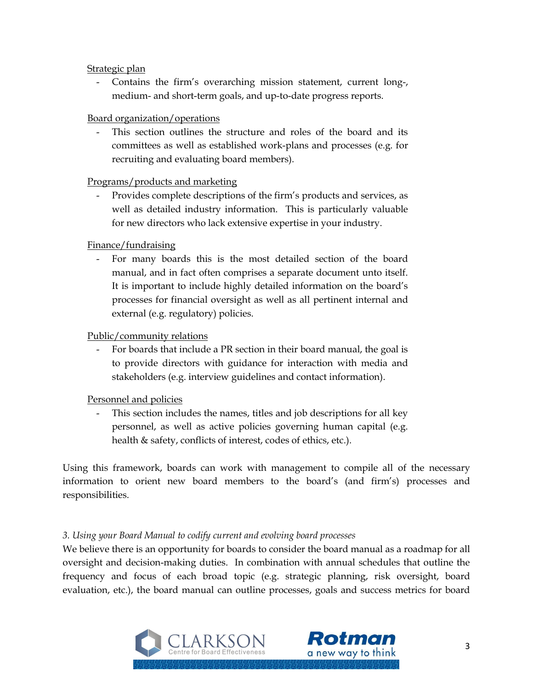#### Strategic plan

- Contains the firm's overarching mission statement, current long-, medium- and short-term goals, and up-to-date progress reports.

## Board organization/operations

- This section outlines the structure and roles of the board and its committees as well as established work-plans and processes (e.g. for recruiting and evaluating board members).

## Programs/products and marketing

- Provides complete descriptions of the firm's products and services, as well as detailed industry information. This is particularly valuable for new directors who lack extensive expertise in your industry.

# Finance/fundraising

- For many boards this is the most detailed section of the board manual, and in fact often comprises a separate document unto itself. It is important to include highly detailed information on the board's processes for financial oversight as well as all pertinent internal and external (e.g. regulatory) policies.

# Public/community relations

- For boards that include a PR section in their board manual, the goal is to provide directors with guidance for interaction with media and stakeholders (e.g. interview guidelines and contact information).

## Personnel and policies

This section includes the names, titles and job descriptions for all key personnel, as well as active policies governing human capital (e.g. health & safety, conflicts of interest, codes of ethics, etc.).

Using this framework, boards can work with management to compile all of the necessary information to orient new board members to the board's (and firm's) processes and responsibilities.

## *3. Using your Board Manual to codify current and evolving board processes*

We believe there is an opportunity for boards to consider the board manual as a roadmap for all oversight and decision-making duties. In combination with annual schedules that outline the frequency and focus of each broad topic (e.g. strategic planning, risk oversight, board evaluation, etc.), the board manual can outline processes, goals and success metrics for board

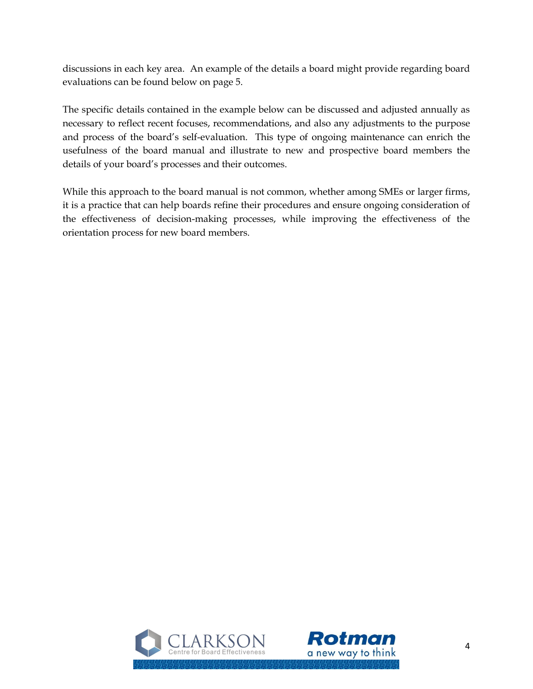discussions in each key area. An example of the details a board might provide regarding board evaluations can be found below on page 5.

The specific details contained in the example below can be discussed and adjusted annually as necessary to reflect recent focuses, recommendations, and also any adjustments to the purpose and process of the board's self-evaluation. This type of ongoing maintenance can enrich the usefulness of the board manual and illustrate to new and prospective board members the details of your board's processes and their outcomes.

While this approach to the board manual is not common, whether among SMEs or larger firms, it is a practice that can help boards refine their procedures and ensure ongoing consideration of the effectiveness of decision-making processes, while improving the effectiveness of the orientation process for new board members.